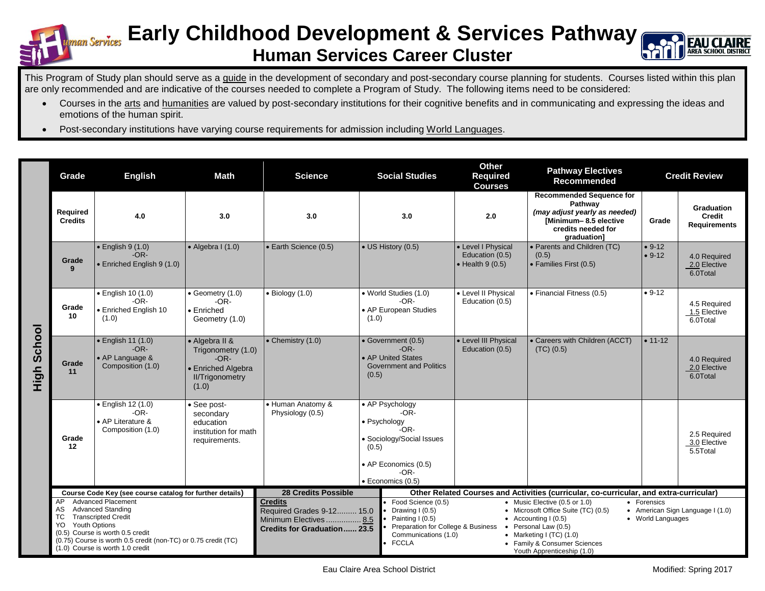

## **Early Childhood Development & Services Pathway Human Services Career Cluster**



This Program of Study plan should serve as a guide in the development of secondary and post-secondary course planning for students. Courses listed within this plan are only recommended and are indicative of the courses needed to complete a Program of Study. The following items need to be considered:

- Courses in the arts and humanities are valued by post-secondary institutions for their cognitive benefits and in communicating and expressing the ideas and emotions of the human spirit.
- Post-secondary institutions have varying course requirements for admission including World Languages.

|                    | Grade                                                                                                                                                                                                                                                                         | <b>English</b>                                                                 | <b>Math</b>                                                                                             | <b>Science</b>                                                                                              |                                                                                                                                                  | <b>Social Studies</b>                                                                                                                                                                                                                                                                                                                                                                                                             | <b>Other</b><br>Required<br><b>Courses</b>                        | <b>Pathway Electives</b><br>Recommended                                                                                                  | <b>Credit Review</b> |                                                           |
|--------------------|-------------------------------------------------------------------------------------------------------------------------------------------------------------------------------------------------------------------------------------------------------------------------------|--------------------------------------------------------------------------------|---------------------------------------------------------------------------------------------------------|-------------------------------------------------------------------------------------------------------------|--------------------------------------------------------------------------------------------------------------------------------------------------|-----------------------------------------------------------------------------------------------------------------------------------------------------------------------------------------------------------------------------------------------------------------------------------------------------------------------------------------------------------------------------------------------------------------------------------|-------------------------------------------------------------------|------------------------------------------------------------------------------------------------------------------------------------------|----------------------|-----------------------------------------------------------|
|                    | Required<br><b>Credits</b>                                                                                                                                                                                                                                                    | 4.0                                                                            | 3.0                                                                                                     | 3.0                                                                                                         |                                                                                                                                                  | 3.0                                                                                                                                                                                                                                                                                                                                                                                                                               | 2.0                                                               | <b>Recommended Sequence for</b><br>Pathwav<br>(may adjust yearly as needed)<br>Minimum-8.5 elective<br>credits needed for<br>graduation] | Grade                | <b>Graduation</b><br><b>Credit</b><br><b>Requirements</b> |
|                    | Grade<br>$\mathbf{q}$                                                                                                                                                                                                                                                         | $\bullet$ English 9 (1.0)<br>$-OR-$<br>• Enriched English 9 (1.0)              | $\bullet$ Algebra I (1.0)                                                                               | • Earth Science (0.5)                                                                                       |                                                                                                                                                  | • US History (0.5)                                                                                                                                                                                                                                                                                                                                                                                                                | • Level I Physical<br>Education (0.5)<br>$\bullet$ Health 9 (0.5) | • Parents and Children (TC)<br>(0.5)<br>• Families First (0.5)                                                                           | $• 9-12$<br>$• 9-12$ | 4.0 Required<br>2.0 Elective<br>6.0Total                  |
|                    | Grade<br>10                                                                                                                                                                                                                                                                   | · English 10 (1.0)<br>$-OR-$<br>• Enriched English 10<br>(1.0)                 | • Geometry (1.0)<br>$-OR-$<br>• Enriched<br>Geometry (1.0)                                              | $\bullet$ Biology (1.0)                                                                                     | (1.0)                                                                                                                                            | • World Studies (1.0)<br>$-OR-$<br>• AP European Studies                                                                                                                                                                                                                                                                                                                                                                          | • Level II Physical<br>Education (0.5)                            | • Financial Fitness (0.5)                                                                                                                | $• 9-12$             | 4.5 Required<br>1.5 Elective<br>6.0Total                  |
| <b>High School</b> | Grade<br>11                                                                                                                                                                                                                                                                   | • English 11 (1.0)<br>$-OR-$<br>• AP Language &<br>Composition (1.0)           | • Algebra II &<br>Trigonometry (1.0)<br>$-OR-$<br>• Enriched Algebra<br><b>II/Trigonometry</b><br>(1.0) | $\bullet$ Chemistry (1.0)                                                                                   | • Government (0.5)<br>$-OR-$<br>• AP United States<br><b>Government and Politics</b><br>(0.5)                                                    |                                                                                                                                                                                                                                                                                                                                                                                                                                   | • Level III Physical<br>Education (0.5)                           | • Careers with Children (ACCT)<br>(TC) (0.5)                                                                                             | $\bullet$ 11-12      | 4.0 Required<br>2.0 Elective<br>6.0Total                  |
|                    | Grade<br>12                                                                                                                                                                                                                                                                   | $\bullet$ English 12 (1.0)<br>$-OR-$<br>• AP Literature &<br>Composition (1.0) | • See post-<br>secondary<br>education<br>institution for math<br>requirements.                          | · Human Anatomy &<br>Physiology (0.5)                                                                       | • AP Psychology<br>$-OR-$<br>• Psychology<br>$-OR-$<br>· Sociology/Social Issues<br>(0.5)<br>• AP Economics (0.5)<br>$-OR-$<br>· Economics (0.5) |                                                                                                                                                                                                                                                                                                                                                                                                                                   |                                                                   |                                                                                                                                          |                      | 2.5 Required<br>3.0 Elective<br>5.5Total                  |
|                    | Course Code Key (see course catalog for further details)                                                                                                                                                                                                                      |                                                                                |                                                                                                         | <b>28 Credits Possible</b>                                                                                  |                                                                                                                                                  | Other Related Courses and Activities (curricular, co-curricular, and extra-curricular)                                                                                                                                                                                                                                                                                                                                            |                                                                   |                                                                                                                                          |                      |                                                           |
|                    | <b>Advanced Placement</b><br>AP<br><b>Advanced Standing</b><br>AS<br><b>Transcripted Credit</b><br>TC<br><b>Youth Options</b><br>YO<br>(0.5) Course is worth 0.5 credit<br>(0.75) Course is worth 0.5 credit (non-TC) or 0.75 credit (TC)<br>(1.0) Course is worth 1.0 credit |                                                                                |                                                                                                         | <b>Credits</b><br>Required Grades 9-12 15.0<br>Minimum Electives  8.5<br><b>Credits for Graduation 23.5</b> |                                                                                                                                                  | Food Science (0.5)<br>• Music Elective (0.5 or 1.0)<br>• Forensics<br>• Microsoft Office Suite (TC) (0.5)<br>Drawing I (0.5)<br>• American Sign Language I (1.0)<br>Painting I (0.5)<br>• World Languages<br>• Accounting $(0.5)$<br>Preparation for College & Business<br>Personal Law (0.5)<br>Communications (1.0)<br>• Marketing I $(TC)$ (1.0)<br><b>FCCLA</b><br>• Family & Consumer Sciences<br>Youth Apprenticeship (1.0) |                                                                   |                                                                                                                                          |                      |                                                           |